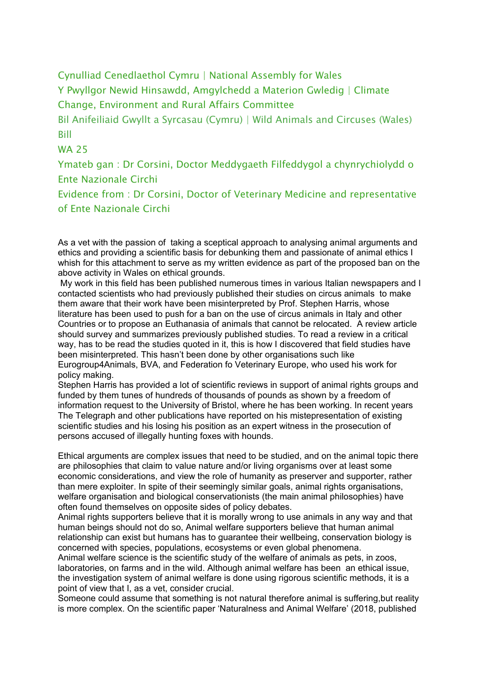## Cynulliad Cenedlaethol Cymru | National Assembly for Wales

Y Pwyllgor Newid Hinsawdd, Amgylchedd a Materion Gwledig | Climate Change, Environment and Rural Affairs Committee

Bil Anifeiliaid Gwyllt a Syrcasau (Cymru) | Wild Animals and Circuses (Wales) Bill

## WA 25

Ymateb gan : Dr Corsini, Doctor Meddygaeth Filfeddygol a chynrychiolydd o Ente Nazionale Circhi

Evidence from : Dr Corsini, Doctor of Veterinary Medicine and representative of Ente Nazionale Circhi

As a vet with the passion of taking a sceptical approach to analysing animal arguments and ethics and providing a scientific basis for debunking them and passionate of animal ethics I whish for this attachment to serve as my written evidence as part of the proposed ban on the above activity in Wales on ethical grounds.

My work in this field has been published numerous times in various Italian newspapers and I contacted scientists who had previously published their studies on circus animals to make them aware that their work have been misinterpreted by Prof. Stephen Harris, whose literature has been used to push for a ban on the use of circus animals in Italy and other Countries or to propose an Euthanasia of animals that cannot be relocated. A review article should survey and summarizes previously published studies. To read a review in a critical way, has to be read the studies quoted in it, this is how I discovered that field studies have been misinterpreted. This hasn't been done by other organisations such like Eurogroup4Animals, BVA, and Federation fo Veterinary Europe, who used his work for policy making.

Stephen Harris has provided a lot of scientific reviews in support of animal rights groups and funded by them tunes of hundreds of thousands of pounds as shown by a freedom of information request to the University of Bristol, where he has been working. In recent years The Telegraph and other publications have reported on his mistepresentation of existing scientific studies and his losing his position as an expert witness in the prosecution of persons accused of illegally hunting foxes with hounds.

Ethical arguments are complex issues that need to be studied, and on the animal topic there are philosophies that claim to value nature and/or living organisms over at least some economic considerations, and view the role of humanity as preserver and supporter, rather than mere exploiter. In spite of their seemingly similar goals, animal rights organisations, welfare organisation and biological conservationists (the main animal philosophies) have often found themselves on opposite sides of policy debates.

Animal rights supporters believe that it is morally wrong to use animals in any way and that human beings should not do so, Animal welfare supporters believe that human animal relationship can exist but humans has to guarantee their wellbeing, conservation biology is concerned with species, populations, ecosystems or even global phenomena.

Animal welfare science is the scientific study of the welfare of animals as pets, in zoos, laboratories, on farms and in the wild. Although animal welfare has been an ethical issue, the investigation system of animal welfare is done using rigorous scientific methods, it is a point of view that I, as a vet, consider crucial.

Someone could assume that something is not natural therefore animal is suffering,but reality is more complex. On the scientific paper 'Naturalness and Animal Welfare' (2018, published